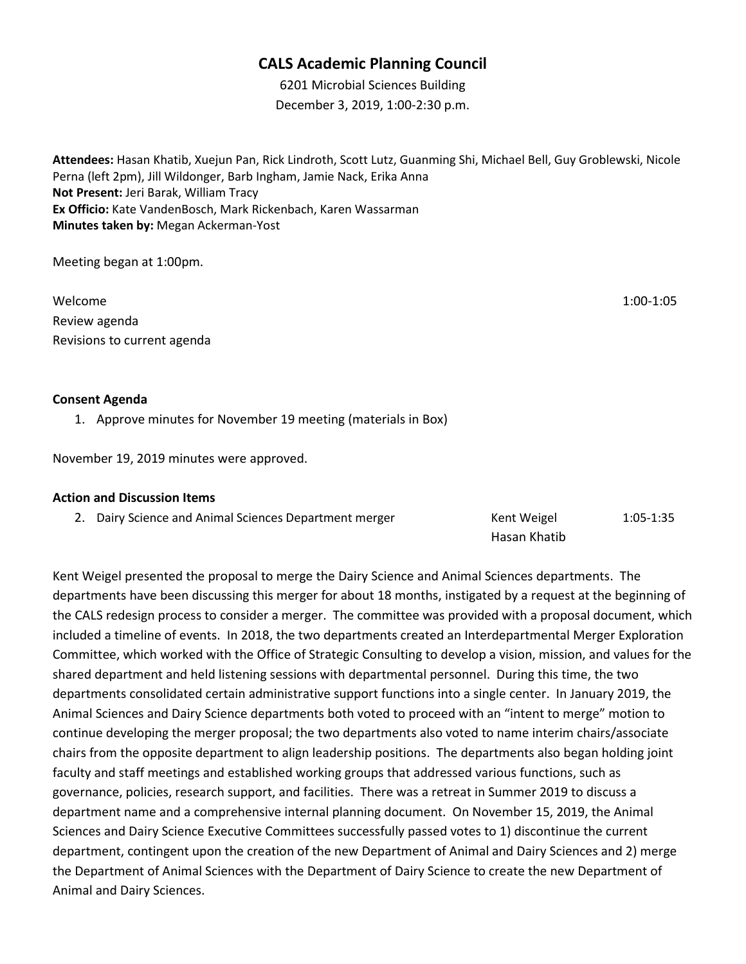## **CALS Academic Planning Council**

6201 Microbial Sciences Building December 3, 2019, 1:00-2:30 p.m.

**Attendees:** Hasan Khatib, Xuejun Pan, Rick Lindroth, Scott Lutz, Guanming Shi, Michael Bell, Guy Groblewski, Nicole Perna (left 2pm), Jill Wildonger, Barb Ingham, Jamie Nack, Erika Anna **Not Present:** Jeri Barak, William Tracy **Ex Officio:** Kate VandenBosch, Mark Rickenbach, Karen Wassarman **Minutes taken by:** Megan Ackerman-Yost

Meeting began at 1:00pm.

Welcome 1:00-1:05 Review agenda Revisions to current agenda

## **Consent Agenda**

1. Approve minutes for November 19 meeting (materials in Box)

November 19, 2019 minutes were approved.

## **Action and Discussion Items**

|  | 2. Dairy Science and Animal Sciences Department merger | Kent Weigel  | $1:05 - 1:35$ |
|--|--------------------------------------------------------|--------------|---------------|
|  |                                                        | Hasan Khatib |               |

Kent Weigel presented the proposal to merge the Dairy Science and Animal Sciences departments. The departments have been discussing this merger for about 18 months, instigated by a request at the beginning of the CALS redesign process to consider a merger. The committee was provided with a proposal document, which included a timeline of events. In 2018, the two departments created an Interdepartmental Merger Exploration Committee, which worked with the Office of Strategic Consulting to develop a vision, mission, and values for the shared department and held listening sessions with departmental personnel. During this time, the two departments consolidated certain administrative support functions into a single center. In January 2019, the Animal Sciences and Dairy Science departments both voted to proceed with an "intent to merge" motion to continue developing the merger proposal; the two departments also voted to name interim chairs/associate chairs from the opposite department to align leadership positions. The departments also began holding joint faculty and staff meetings and established working groups that addressed various functions, such as governance, policies, research support, and facilities. There was a retreat in Summer 2019 to discuss a department name and a comprehensive internal planning document. On November 15, 2019, the Animal Sciences and Dairy Science Executive Committees successfully passed votes to 1) discontinue the current department, contingent upon the creation of the new Department of Animal and Dairy Sciences and 2) merge the Department of Animal Sciences with the Department of Dairy Science to create the new Department of Animal and Dairy Sciences.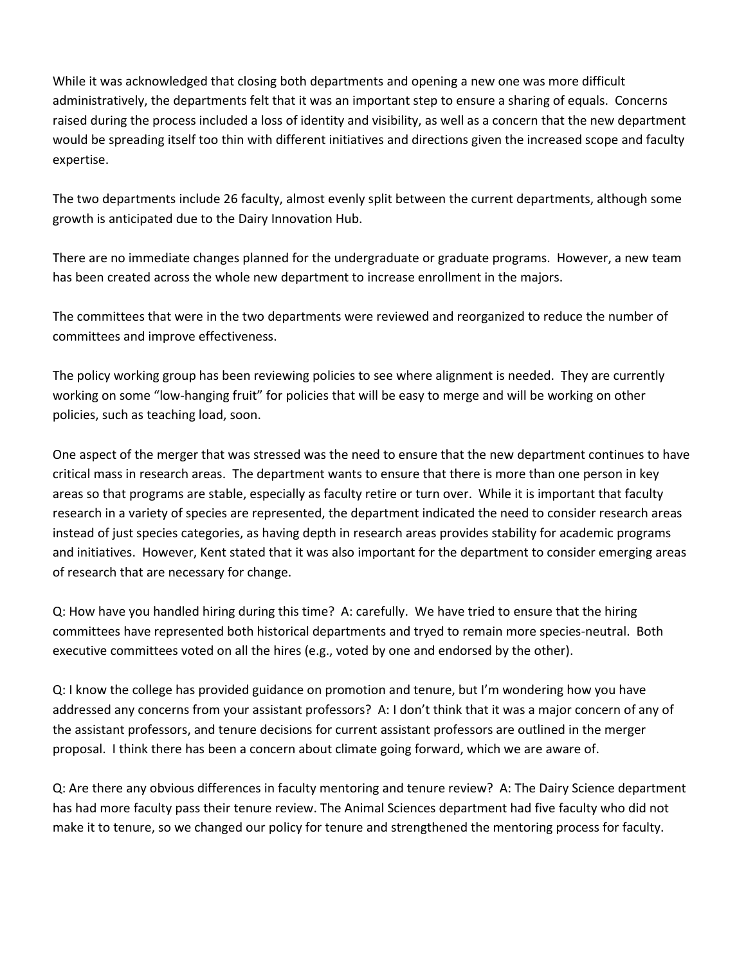While it was acknowledged that closing both departments and opening a new one was more difficult administratively, the departments felt that it was an important step to ensure a sharing of equals. Concerns raised during the process included a loss of identity and visibility, as well as a concern that the new department would be spreading itself too thin with different initiatives and directions given the increased scope and faculty expertise.

The two departments include 26 faculty, almost evenly split between the current departments, although some growth is anticipated due to the Dairy Innovation Hub.

There are no immediate changes planned for the undergraduate or graduate programs. However, a new team has been created across the whole new department to increase enrollment in the majors.

The committees that were in the two departments were reviewed and reorganized to reduce the number of committees and improve effectiveness.

The policy working group has been reviewing policies to see where alignment is needed. They are currently working on some "low-hanging fruit" for policies that will be easy to merge and will be working on other policies, such as teaching load, soon.

One aspect of the merger that was stressed was the need to ensure that the new department continues to have critical mass in research areas. The department wants to ensure that there is more than one person in key areas so that programs are stable, especially as faculty retire or turn over. While it is important that faculty research in a variety of species are represented, the department indicated the need to consider research areas instead of just species categories, as having depth in research areas provides stability for academic programs and initiatives. However, Kent stated that it was also important for the department to consider emerging areas of research that are necessary for change.

Q: How have you handled hiring during this time? A: carefully. We have tried to ensure that the hiring committees have represented both historical departments and tryed to remain more species-neutral. Both executive committees voted on all the hires (e.g., voted by one and endorsed by the other).

Q: I know the college has provided guidance on promotion and tenure, but I'm wondering how you have addressed any concerns from your assistant professors? A: I don't think that it was a major concern of any of the assistant professors, and tenure decisions for current assistant professors are outlined in the merger proposal. I think there has been a concern about climate going forward, which we are aware of.

Q: Are there any obvious differences in faculty mentoring and tenure review? A: The Dairy Science department has had more faculty pass their tenure review. The Animal Sciences department had five faculty who did not make it to tenure, so we changed our policy for tenure and strengthened the mentoring process for faculty.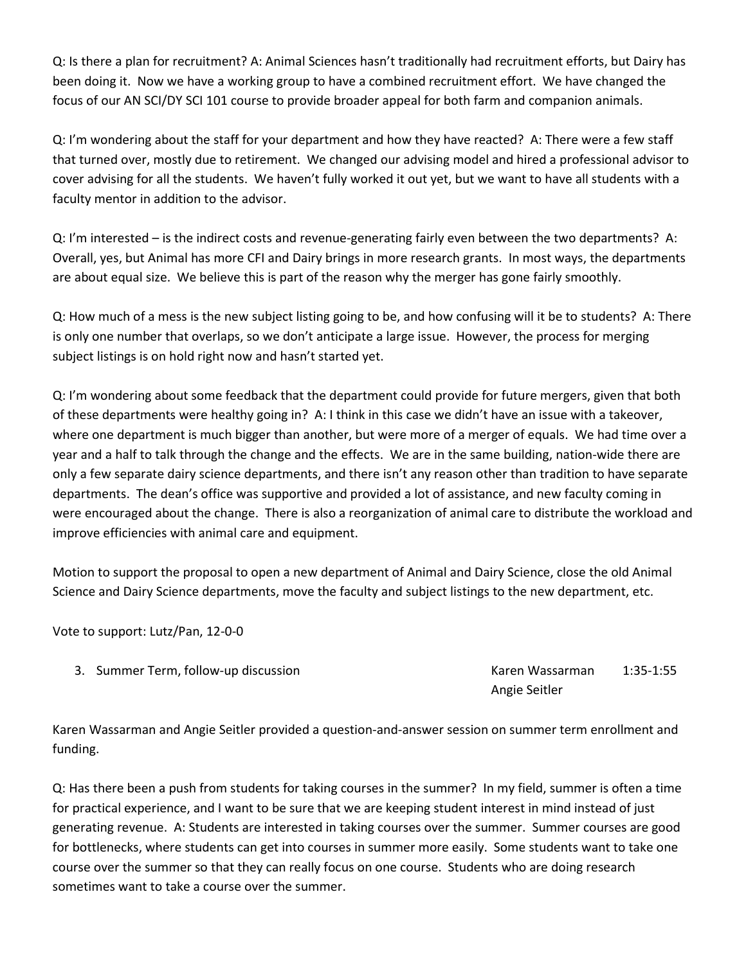Q: Is there a plan for recruitment? A: Animal Sciences hasn't traditionally had recruitment efforts, but Dairy has been doing it. Now we have a working group to have a combined recruitment effort. We have changed the focus of our AN SCI/DY SCI 101 course to provide broader appeal for both farm and companion animals.

Q: I'm wondering about the staff for your department and how they have reacted? A: There were a few staff that turned over, mostly due to retirement. We changed our advising model and hired a professional advisor to cover advising for all the students. We haven't fully worked it out yet, but we want to have all students with a faculty mentor in addition to the advisor.

Q: I'm interested – is the indirect costs and revenue-generating fairly even between the two departments? A: Overall, yes, but Animal has more CFI and Dairy brings in more research grants. In most ways, the departments are about equal size. We believe this is part of the reason why the merger has gone fairly smoothly.

Q: How much of a mess is the new subject listing going to be, and how confusing will it be to students? A: There is only one number that overlaps, so we don't anticipate a large issue. However, the process for merging subject listings is on hold right now and hasn't started yet.

Q: I'm wondering about some feedback that the department could provide for future mergers, given that both of these departments were healthy going in? A: I think in this case we didn't have an issue with a takeover, where one department is much bigger than another, but were more of a merger of equals. We had time over a year and a half to talk through the change and the effects. We are in the same building, nation-wide there are only a few separate dairy science departments, and there isn't any reason other than tradition to have separate departments. The dean's office was supportive and provided a lot of assistance, and new faculty coming in were encouraged about the change. There is also a reorganization of animal care to distribute the workload and improve efficiencies with animal care and equipment.

Motion to support the proposal to open a new department of Animal and Dairy Science, close the old Animal Science and Dairy Science departments, move the faculty and subject listings to the new department, etc.

Vote to support: Lutz/Pan, 12-0-0

3. Summer Term, follow-up discussion Number 2014 Maxwell Area Massarman 1:35-1:55

Angie Seitler

Karen Wassarman and Angie Seitler provided a question-and-answer session on summer term enrollment and funding.

Q: Has there been a push from students for taking courses in the summer? In my field, summer is often a time for practical experience, and I want to be sure that we are keeping student interest in mind instead of just generating revenue. A: Students are interested in taking courses over the summer. Summer courses are good for bottlenecks, where students can get into courses in summer more easily. Some students want to take one course over the summer so that they can really focus on one course. Students who are doing research sometimes want to take a course over the summer.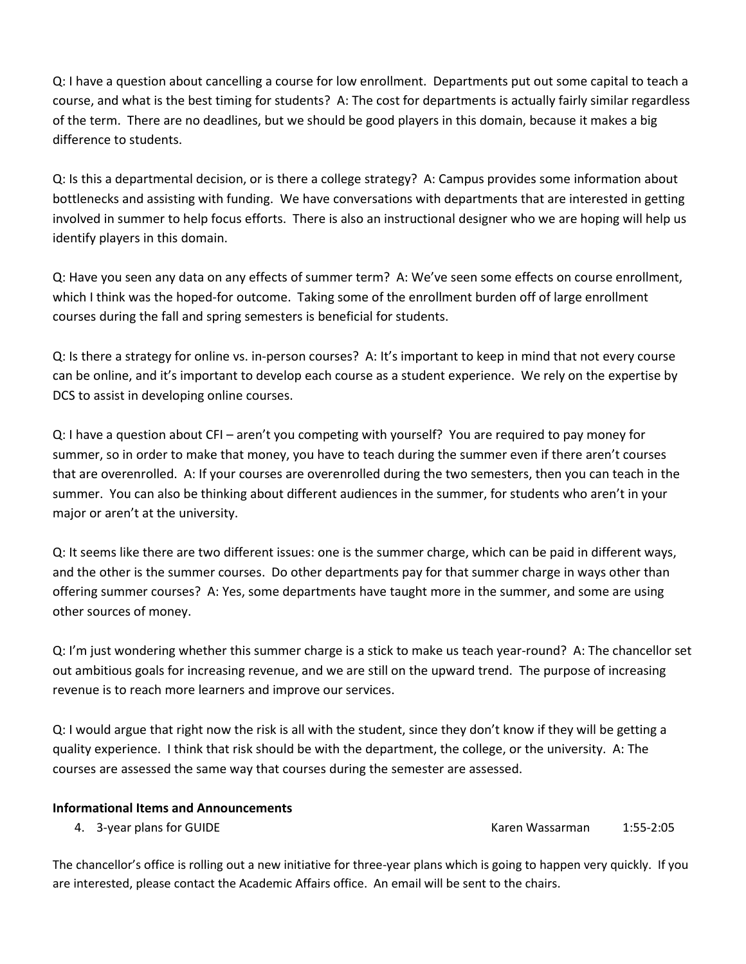Q: I have a question about cancelling a course for low enrollment. Departments put out some capital to teach a course, and what is the best timing for students? A: The cost for departments is actually fairly similar regardless of the term. There are no deadlines, but we should be good players in this domain, because it makes a big difference to students.

Q: Is this a departmental decision, or is there a college strategy? A: Campus provides some information about bottlenecks and assisting with funding. We have conversations with departments that are interested in getting involved in summer to help focus efforts. There is also an instructional designer who we are hoping will help us identify players in this domain.

Q: Have you seen any data on any effects of summer term? A: We've seen some effects on course enrollment, which I think was the hoped-for outcome. Taking some of the enrollment burden off of large enrollment courses during the fall and spring semesters is beneficial for students.

Q: Is there a strategy for online vs. in-person courses? A: It's important to keep in mind that not every course can be online, and it's important to develop each course as a student experience. We rely on the expertise by DCS to assist in developing online courses.

Q: I have a question about CFI – aren't you competing with yourself? You are required to pay money for summer, so in order to make that money, you have to teach during the summer even if there aren't courses that are overenrolled. A: If your courses are overenrolled during the two semesters, then you can teach in the summer. You can also be thinking about different audiences in the summer, for students who aren't in your major or aren't at the university.

Q: It seems like there are two different issues: one is the summer charge, which can be paid in different ways, and the other is the summer courses. Do other departments pay for that summer charge in ways other than offering summer courses? A: Yes, some departments have taught more in the summer, and some are using other sources of money.

Q: I'm just wondering whether this summer charge is a stick to make us teach year-round? A: The chancellor set out ambitious goals for increasing revenue, and we are still on the upward trend. The purpose of increasing revenue is to reach more learners and improve our services.

Q: I would argue that right now the risk is all with the student, since they don't know if they will be getting a quality experience. I think that risk should be with the department, the college, or the university. A: The courses are assessed the same way that courses during the semester are assessed.

## **Informational Items and Announcements**

4. 3-year plans for GUIDE **Karen Wassarman** 1:55-2:05

The chancellor's office is rolling out a new initiative for three-year plans which is going to happen very quickly. If you are interested, please contact the Academic Affairs office. An email will be sent to the chairs.